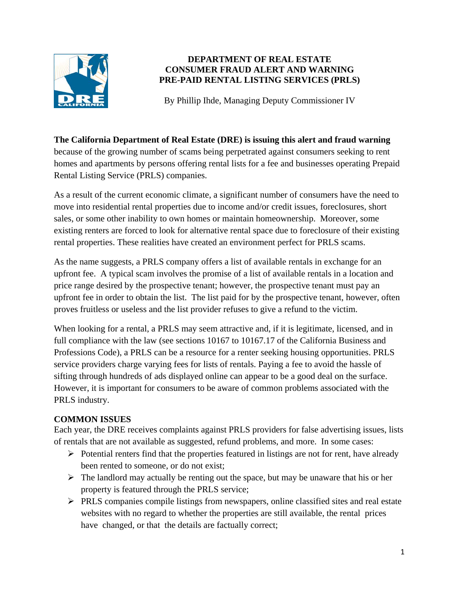

#### **DEPARTMENT OF REAL ESTATE CONSUMER FRAUD ALERT AND WARNING PRE-PAID RENTAL LISTING SERVICES (PRLS)**

By Phillip Ihde, Managing Deputy Commissioner IV

#### **The California Department of Real Estate (DRE) is issuing this alert and fraud warning**

because of the growing number of scams being perpetrated against consumers seeking to rent homes and apartments by persons offering rental lists for a fee and businesses operating Prepaid Rental Listing Service (PRLS) companies.

As a result of the current economic climate, a significant number of consumers have the need to move into residential rental properties due to income and/or credit issues, foreclosures, short sales, or some other inability to own homes or maintain homeownership. Moreover, some existing renters are forced to look for alternative rental space due to foreclosure of their existing rental properties. These realities have created an environment perfect for PRLS scams.

As the name suggests, a PRLS company offers a list of available rentals in exchange for an upfront fee. A typical scam involves the promise of a list of available rentals in a location and price range desired by the prospective tenant; however, the prospective tenant must pay an upfront fee in order to obtain the list. The list paid for by the prospective tenant, however, often proves fruitless or useless and the list provider refuses to give a refund to the victim.

When looking for a rental, a PRLS may seem attractive and, if it is legitimate, licensed, and in full compliance with the law (see sections 10167 to 10167.17 of the California Business and Professions Code), a PRLS can be a resource for a renter seeking housing opportunities. PRLS service providers charge varying fees for lists of rentals. Paying a fee to avoid the hassle of sifting through hundreds of ads displayed online can appear to be a good deal on the surface. However, it is important for consumers to be aware of common problems associated with the PRLS industry.

## **COMMON ISSUES**

Each year, the DRE receives complaints against PRLS providers for false advertising issues, lists of rentals that are not available as suggested, refund problems, and more. In some cases:

- $\triangleright$  Potential renters find that the properties featured in listings are not for rent, have already been rented to someone, or do not exist;
- $\triangleright$  The landlord may actually be renting out the space, but may be unaware that his or her property is featured through the PRLS service;
- $\triangleright$  PRLS companies compile listings from newspapers, online classified sites and real estate websites with no regard to whether the properties are still available, the rental prices have changed, or that the details are factually correct;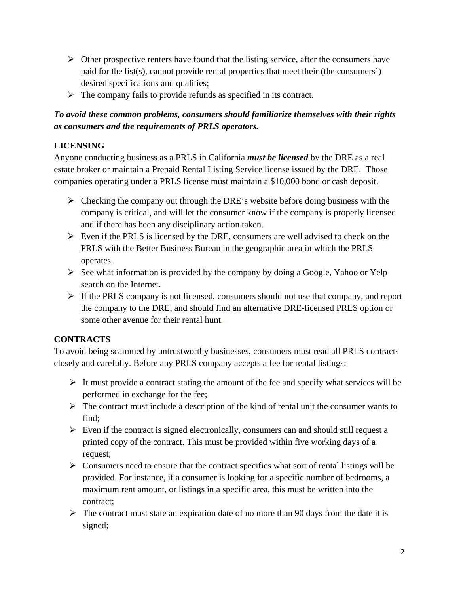- $\triangleright$  Other prospective renters have found that the listing service, after the consumers have paid for the list(s), cannot provide rental properties that meet their (the consumers') desired specifications and qualities;
- $\triangleright$  The company fails to provide refunds as specified in its contract.

# *To avoid these common problems, consumers should familiarize themselves with their rights as consumers and the requirements of PRLS operators.*

# **LICENSING**

Anyone conducting business as a PRLS in California *must be licensed* by the DRE as a real estate broker or maintain a Prepaid Rental Listing Service license issued by the DRE. Those companies operating under a PRLS license must maintain a \$10,000 bond or cash deposit.

- $\triangleright$  Checking the company out through the DRE's website before doing business with the company is critical, and will let the consumer know if the company is properly licensed and if there has been any disciplinary action taken.
- $\triangleright$  Even if the PRLS is licensed by the DRE, consumers are well advised to check on the PRLS with the Better Business Bureau in the geographic area in which the PRLS operates.
- $\triangleright$  See what information is provided by the company by doing a Google, Yahoo or Yelp search on the Internet.
- $\triangleright$  If the PRLS company is not licensed, consumers should not use that company, and report the company to the DRE, and should find an alternative DRE-licensed PRLS option or some other avenue for their rental hunt.

# **CONTRACTS**

To avoid being scammed by untrustworthy businesses, consumers must read all PRLS contracts closely and carefully. Before any PRLS company accepts a fee for rental listings:

- $\triangleright$  It must provide a contract stating the amount of the fee and specify what services will be performed in exchange for the fee;
- $\triangleright$  The contract must include a description of the kind of rental unit the consumer wants to find;
- $\triangleright$  Even if the contract is signed electronically, consumers can and should still request a printed copy of the contract. This must be provided within five working days of a request;
- $\triangleright$  Consumers need to ensure that the contract specifies what sort of rental listings will be provided. For instance, if a consumer is looking for a specific number of bedrooms, a maximum rent amount, or listings in a specific area, this must be written into the contract;
- $\triangleright$  The contract must state an expiration date of no more than 90 days from the date it is signed;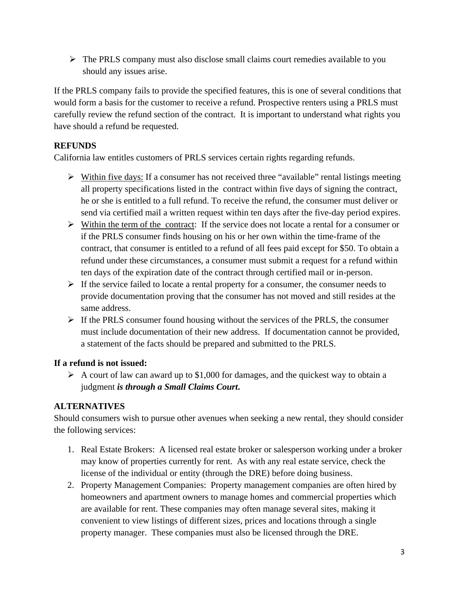$\triangleright$  The PRLS company must also disclose small claims court remedies available to you should any issues arise.

If the PRLS company fails to provide the specified features, this is one of several conditions that would form a basis for the customer to receive a refund. Prospective renters using a PRLS must carefully review the refund section of the contract. It is important to understand what rights you have should a refund be requested.

## **REFUNDS**

California law entitles customers of PRLS services certain rights regarding refunds.

- $\triangleright$  Within five days: If a consumer has not received three "available" rental listings meeting all property specifications listed in the contract within five days of signing the contract, he or she is entitled to a full refund. To receive the refund, the consumer must deliver or send via certified mail a written request within ten days after the five-day period expires.
- $\triangleright$  Within the term of the contract: If the service does not locate a rental for a consumer or if the PRLS consumer finds housing on his or her own within the time-frame of the contract, that consumer is entitled to a refund of all fees paid except for \$50. To obtain a refund under these circumstances, a consumer must submit a request for a refund within ten days of the expiration date of the contract through certified mail or in-person.
- $\triangleright$  If the service failed to locate a rental property for a consumer, the consumer needs to provide documentation proving that the consumer has not moved and still resides at the same address.
- $\triangleright$  If the PRLS consumer found housing without the services of the PRLS, the consumer must include documentation of their new address. If documentation cannot be provided, a statement of the facts should be prepared and submitted to the PRLS.

## **If a refund is not issued:**

 $\triangleright$  A court of law can award up to \$1,000 for damages, and the quickest way to obtain a judgment *is through a Small Claims Court***.** 

## **ALTERNATIVES**

Should consumers wish to pursue other avenues when seeking a new rental, they should consider the following services:

- 1. Real Estate Brokers: A licensed real estate broker or salesperson working under a broker may know of properties currently for rent. As with any real estate service, check the license of the individual or entity (through the DRE) before doing business.
- 2. Property Management Companies: Property management companies are often hired by homeowners and apartment owners to manage homes and commercial properties which are available for rent. These companies may often manage several sites, making it convenient to view listings of different sizes, prices and locations through a single property manager. These companies must also be licensed through the DRE.